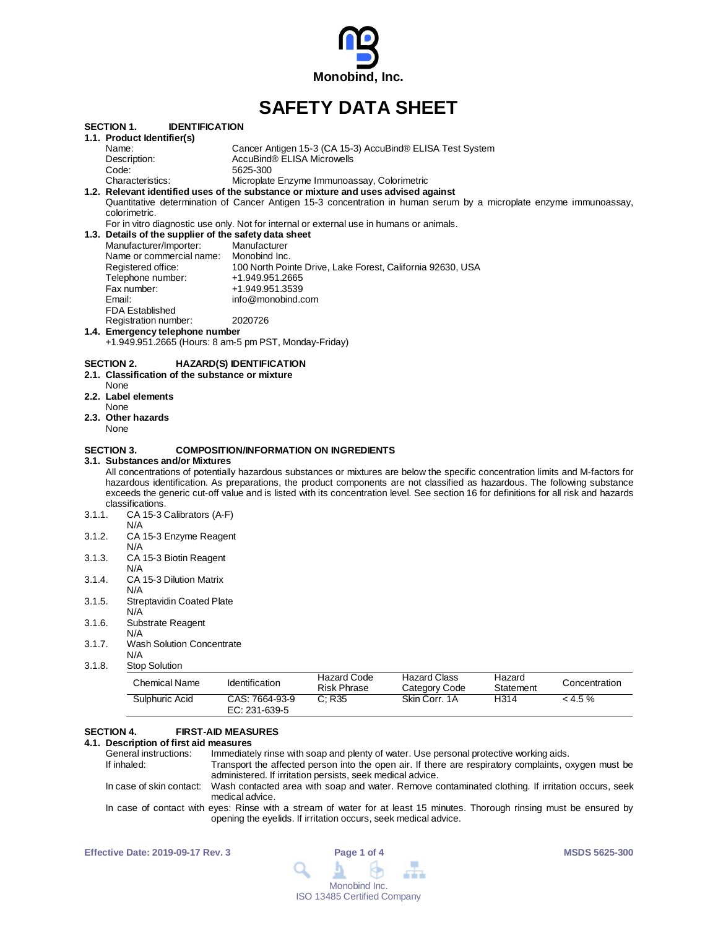

# **SAFETY DATA SHEET**

| SECTION 1.        | <b>IDENTIFICATION</b>                                                                                                                 |                                               |                                             |                                                            |           |               |
|-------------------|---------------------------------------------------------------------------------------------------------------------------------------|-----------------------------------------------|---------------------------------------------|------------------------------------------------------------|-----------|---------------|
|                   | 1.1. Product Identifier(s)                                                                                                            |                                               |                                             |                                                            |           |               |
|                   | Name:                                                                                                                                 |                                               |                                             | Cancer Antigen 15-3 (CA 15-3) AccuBind® ELISA Test System  |           |               |
|                   | Description:                                                                                                                          | AccuBind® ELISA Microwells                    |                                             |                                                            |           |               |
|                   | Code:                                                                                                                                 | 5625-300                                      |                                             |                                                            |           |               |
|                   | Characteristics:                                                                                                                      |                                               | Microplate Enzyme Immunoassay, Colorimetric |                                                            |           |               |
|                   | 1.2. Relevant identified uses of the substance or mixture and uses advised against                                                    |                                               |                                             |                                                            |           |               |
|                   | Quantitative determination of Cancer Antigen 15-3 concentration in human serum by a microplate enzyme immunoassay,                    |                                               |                                             |                                                            |           |               |
|                   | colorimetric.                                                                                                                         |                                               |                                             |                                                            |           |               |
|                   | For in vitro diagnostic use only. Not for internal or external use in humans or animals.                                              |                                               |                                             |                                                            |           |               |
|                   | 1.3. Details of the supplier of the safety data sheet                                                                                 |                                               |                                             |                                                            |           |               |
|                   | Manufacturer/Importer:                                                                                                                | Manufacturer                                  |                                             |                                                            |           |               |
|                   | Name or commercial name:                                                                                                              | Monobind Inc.                                 |                                             |                                                            |           |               |
|                   | Registered office:                                                                                                                    |                                               |                                             | 100 North Pointe Drive, Lake Forest, California 92630, USA |           |               |
|                   | Telephone number:                                                                                                                     | +1.949.951.2665                               |                                             |                                                            |           |               |
|                   | Fax number:                                                                                                                           | +1.949.951.3539                               |                                             |                                                            |           |               |
|                   | Email:                                                                                                                                | info@monobind.com                             |                                             |                                                            |           |               |
|                   | <b>FDA Established</b>                                                                                                                |                                               |                                             |                                                            |           |               |
|                   | Registration number:                                                                                                                  | 2020726                                       |                                             |                                                            |           |               |
|                   | 1.4. Emergency telephone number                                                                                                       |                                               |                                             |                                                            |           |               |
|                   | +1.949.951.2665 (Hours: 8 am-5 pm PST, Monday-Friday)                                                                                 |                                               |                                             |                                                            |           |               |
|                   |                                                                                                                                       |                                               |                                             |                                                            |           |               |
| SECTION 2.        |                                                                                                                                       | <b>HAZARD(S) IDENTIFICATION</b>               |                                             |                                                            |           |               |
|                   | 2.1. Classification of the substance or mixture                                                                                       |                                               |                                             |                                                            |           |               |
|                   | None                                                                                                                                  |                                               |                                             |                                                            |           |               |
|                   | 2.2. Label elements                                                                                                                   |                                               |                                             |                                                            |           |               |
|                   | None                                                                                                                                  |                                               |                                             |                                                            |           |               |
|                   | 2.3. Other hazards                                                                                                                    |                                               |                                             |                                                            |           |               |
|                   | None                                                                                                                                  |                                               |                                             |                                                            |           |               |
|                   |                                                                                                                                       |                                               |                                             |                                                            |           |               |
| <b>SECTION 3.</b> |                                                                                                                                       | <b>COMPOSITION/INFORMATION ON INGREDIENTS</b> |                                             |                                                            |           |               |
|                   | 3.1.Substances and/or Mixtures                                                                                                        |                                               |                                             |                                                            |           |               |
|                   | All concentrations of potentially hazardous substances or mixtures are below the specific concentration limits and M-factors for      |                                               |                                             |                                                            |           |               |
|                   | hazardous identification. As preparations, the product components are not classified as hazardous. The following substance            |                                               |                                             |                                                            |           |               |
|                   | exceeds the generic cut-off value and is listed with its concentration level. See section 16 for definitions for all risk and hazards |                                               |                                             |                                                            |           |               |
|                   | classifications.                                                                                                                      |                                               |                                             |                                                            |           |               |
| 3.1.1.            | CA 15-3 Calibrators (A-F)                                                                                                             |                                               |                                             |                                                            |           |               |
|                   | N/A                                                                                                                                   |                                               |                                             |                                                            |           |               |
| 3.1.2.            | CA 15-3 Enzyme Reagent                                                                                                                |                                               |                                             |                                                            |           |               |
|                   | N/A                                                                                                                                   |                                               |                                             |                                                            |           |               |
| 3.1.3.            | CA 15-3 Biotin Reagent                                                                                                                |                                               |                                             |                                                            |           |               |
|                   | N/A                                                                                                                                   |                                               |                                             |                                                            |           |               |
| 3.1.4.            | CA 15-3 Dilution Matrix                                                                                                               |                                               |                                             |                                                            |           |               |
|                   | N/A                                                                                                                                   |                                               |                                             |                                                            |           |               |
| 3.1.5.            | <b>Streptavidin Coated Plate</b>                                                                                                      |                                               |                                             |                                                            |           |               |
|                   | N/A                                                                                                                                   |                                               |                                             |                                                            |           |               |
| 3.1.6.            | Substrate Reagent                                                                                                                     |                                               |                                             |                                                            |           |               |
|                   | N/A                                                                                                                                   |                                               |                                             |                                                            |           |               |
| 3.1.7.            | <b>Wash Solution Concentrate</b>                                                                                                      |                                               |                                             |                                                            |           |               |
|                   | N/A                                                                                                                                   |                                               |                                             |                                                            |           |               |
| 3.1.8.            | <b>Stop Solution</b>                                                                                                                  |                                               |                                             |                                                            |           |               |
|                   |                                                                                                                                       |                                               | <b>Hazard Code</b>                          | <b>Hazard Class</b>                                        | Hazard    |               |
|                   | <b>Chemical Name</b>                                                                                                                  | Identification                                |                                             |                                                            |           | Concentration |
|                   |                                                                                                                                       |                                               | <b>Risk Phrase</b>                          | Category Code                                              | Statement |               |
|                   | Sulphuric Acid                                                                                                                        | CAS: 7664-93-9                                | C: R35                                      | Skin Corr. 1A                                              | H314      | < 4.5 %       |

### **SECTION 4. FIRST-AID MEASURES**

EC: 231-639-5

**4.1. Description of first aid measures** General instructions: Immediately rinse with soap and plenty of water. Use personal protective working aids.<br>If inhaled: Transport the affected person into the open air. If there are respiratory complaints, o Transport the affected person into the open air. If there are respiratory complaints, oxygen must be administered. If irritation persists, seek medical advice. In case of skin contact: Wash contacted area with soap and water. Remove contaminated clothing. If irritation occurs, seek medical advice. In case of contact with eyes: Rinse with a stream of water for at least 15 minutes. Thorough rinsing must be ensured by opening the eyelids. If irritation occurs, seek medical advice.

| <b>Effective Date: 2019-09-17 Rev. 3</b> | Page 1 of 4                                                                      | <b>MSDS 5625-300</b> |
|------------------------------------------|----------------------------------------------------------------------------------|----------------------|
|                                          | $\begin{array}{c} \mathbf{A} & \mathbf{B} & \mathbf{B} & \mathbf{B} \end{array}$ |                      |
|                                          | Monobind Inc.                                                                    |                      |
|                                          | <b>ISO 13485 Certified Company</b>                                               |                      |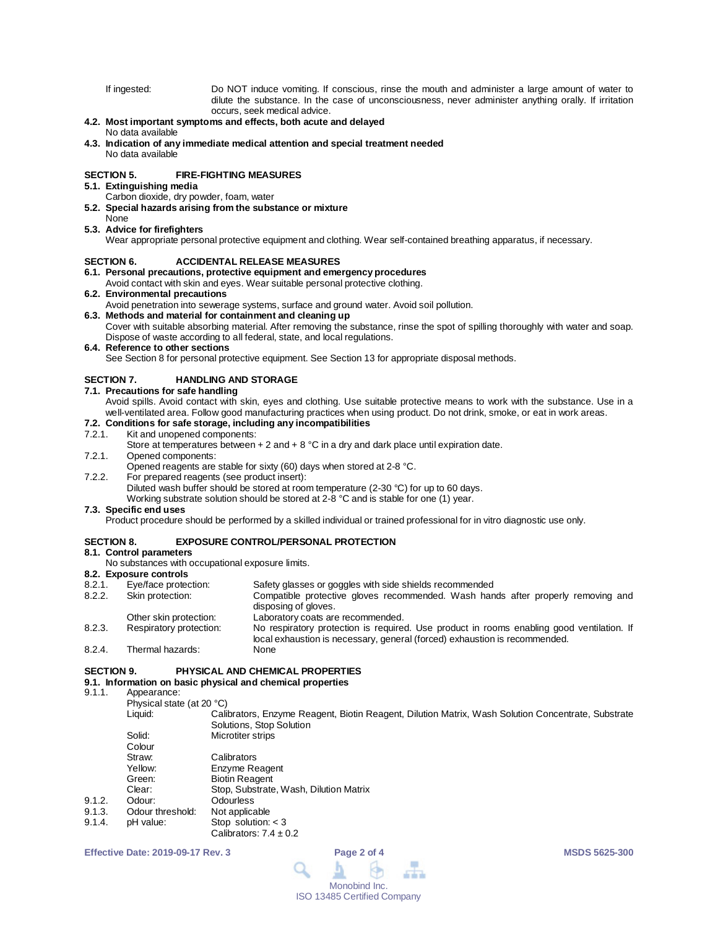If ingested: Do NOT induce vomiting. If conscious, rinse the mouth and administer a large amount of water to dilute the substance. In the case of unconsciousness, never administer anything orally. If irritation occurs, seek medical advice.

# **4.2. Most important symptoms and effects, both acute and delayed**

#### No data available

**4.3. Indication of any immediate medical attention and special treatment needed** No data available

### **SECTION 5. FIRE-FIGHTING MEASURES**

# **5.1. Extinguishing media**

- Carbon dioxide, dry powder, foam, water
- **5.2. Special hazards arising from the substance or mixture**

#### None **5.3. Advice for firefighters**

Wear appropriate personal protective equipment and clothing. Wear self-contained breathing apparatus, if necessary.

### **SECTION 6. ACCIDENTAL RELEASE MEASURES**

**6.1. Personal precautions, protective equipment and emergency procedures**

# Avoid contact with skin and eyes. Wear suitable personal protective clothing.

# **6.2. Environmental precautions**

Avoid penetration into sewerage systems, surface and ground water. Avoid soil pollution.

# **6.3. Methods and material for containment and cleaning up**

Cover with suitable absorbing material. After removing the substance, rinse the spot of spilling thoroughly with water and soap. Dispose of waste according to all federal, state, and local regulations.

# **6.4. Reference to other sections**

See Section 8 for personal protective equipment. See Section 13 for appropriate disposal methods.

### **SECTION 7. HANDLING AND STORAGE**

#### **7.1. Precautions for safe handling**

Avoid spills. Avoid contact with skin, eyes and clothing. Use suitable protective means to work with the substance. Use in a well-ventilated area. Follow good manufacturing practices when using product. Do not drink, smoke, or eat in work areas.

# **7.2. Conditions for safe storage, including any incompatibilities**

# 7.2.1. Kit and unopened components:

Store at temperatures between  $+ 2$  and  $+ 8$  °C in a dry and dark place until expiration date.

7.2.1. Opened components:

Opened reagents are stable for sixty (60) days when stored at 2-8 °C.

7.2.2. For prepared reagents (see product insert):

Diluted wash buffer should be stored at room temperature (2-30 °C) for up to 60 days.

Working substrate solution should be stored at 2-8 °C and is stable for one (1) year.

### **7.3. Specific end uses**

Product procedure should be performed by a skilled individual or trained professional for in vitro diagnostic use only.

# **SECTION 8. EXPOSURE CONTROL/PERSONAL PROTECTION**

# **8.1. Control parameters**

No substances with occupational exposure limits.

# **8.2. Exposure controls**

- 8.2.1. Eye/face protection: Safety glasses or goggles with side shields recommended<br>8.2.2. Skin protection: Compatible protective gloves recommended. Wash han
- Compatible protective gloves recommended. Wash hands after properly removing and disposing of gloves. Other skin protection: Laboratory coats are recommended.
- 8.2.3. Respiratory protection: No respiratory protection is required. Use product in rooms enabling good ventilation. If local exhaustion is necessary, general (forced) exhaustion is recommended.
- 8.2.4. Thermal hazards:

## **SECTION 9. PHYSICAL AND CHEMICAL PROPERTIES**

# **9.1. Information on basic physical and chemical properties**

# Appearance:

Physical state (at 20 °C)<br>Liquid: Cali Calibrators, Enzyme Reagent, Biotin Reagent, Dilution Matrix, Wash Solution Concentrate, Substrate Solutions, Stop Solution Solid: Microtiter strips Colour

|        | Straw:           | Calibrators                            |
|--------|------------------|----------------------------------------|
|        | Yellow:          | Enzyme Reagent                         |
|        | Green:           | <b>Biotin Reagent</b>                  |
|        | Clear:           | Stop, Substrate, Wash, Dilution Matrix |
| 9.1.2. | Odour:           | <b>Odourless</b>                       |
| 9.1.3. | Odour threshold: | Not applicable                         |
| 9.1.4. | pH value:        | Stop solution: $<$ 3                   |
|        |                  | Calibrators: $7.4 \pm 0.2$             |

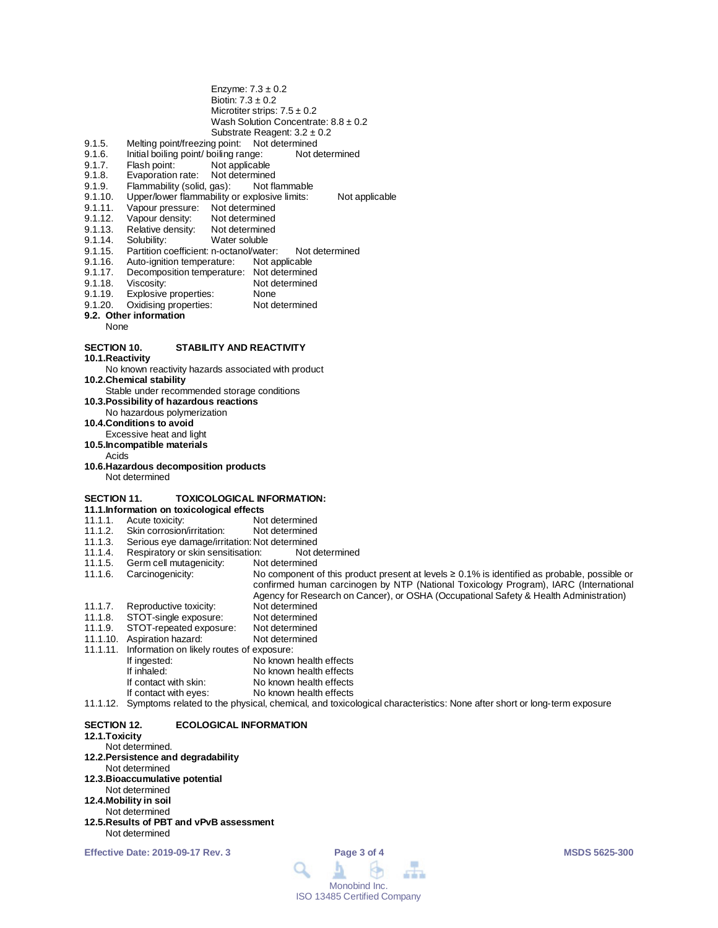| Biotin: $7.3 \pm 0.2$                                                                                                                                                                                                                               | Enzyme: $7.3 \pm 0.2$<br>Microtiter strips: $7.5 \pm 0.2$<br>Wash Solution Concentrate: $8.8 \pm 0.2$                                                                                                                                                                               |
|-----------------------------------------------------------------------------------------------------------------------------------------------------------------------------------------------------------------------------------------------------|-------------------------------------------------------------------------------------------------------------------------------------------------------------------------------------------------------------------------------------------------------------------------------------|
| Melting point/freezing point: Not determined<br>9.1.5.<br>Initial boiling point/ boiling range:<br>9.1.6.<br>9.1.7.<br>Flash point:<br>Not applicable<br>9.1.8.<br>Evaporation rate:<br>Not determined                                              | Substrate Reagent: $3.2 \pm 0.2$<br>Not determined                                                                                                                                                                                                                                  |
| Flammability (solid, gas):<br>9.1.9.<br>9.1.10.<br>Upper/lower flammability or explosive limits:<br>9.1.11.<br>Vapour pressure:<br>Not determined<br>9.1.12.<br>Vapour density:<br>Not determined<br>Relative density:<br>9.1.13.<br>Not determined | Not flammable<br>Not applicable                                                                                                                                                                                                                                                     |
| Solubility:<br>9.1.14.<br>Water soluble<br>Partition coefficient: n-octanol/water:<br>9.1.15.                                                                                                                                                       | Not determined                                                                                                                                                                                                                                                                      |
| Auto-ignition temperature:<br>9.1.16.<br>Decomposition temperature: Not determined<br>9.1.17.<br>9.1.18.<br>Viscosity:                                                                                                                              | Not applicable<br>Not determined                                                                                                                                                                                                                                                    |
| Explosive properties:<br>9.1.19.<br>Oxidising properties:<br>9.1.20.<br>9.2. Other information<br>None                                                                                                                                              | None<br>Not determined                                                                                                                                                                                                                                                              |
| <b>SECTION 10.</b><br>STABILITY AND REACTIVITY<br>10.1. Reactivity                                                                                                                                                                                  |                                                                                                                                                                                                                                                                                     |
| No known reactivity hazards associated with product<br>10.2. Chemical stability                                                                                                                                                                     |                                                                                                                                                                                                                                                                                     |
| Stable under recommended storage conditions<br>10.3. Possibility of hazardous reactions                                                                                                                                                             |                                                                                                                                                                                                                                                                                     |
| No hazardous polymerization<br>10.4. Conditions to avoid<br>Excessive heat and light                                                                                                                                                                |                                                                                                                                                                                                                                                                                     |
| 10.5. Incompatible materials<br>Acids                                                                                                                                                                                                               |                                                                                                                                                                                                                                                                                     |
| 10.6. Hazardous decomposition products<br>Not determined                                                                                                                                                                                            |                                                                                                                                                                                                                                                                                     |
| <b>SECTION 11.</b><br>11.1. Information on toxicological effects                                                                                                                                                                                    | <b>TOXICOLOGICAL INFORMATION:</b>                                                                                                                                                                                                                                                   |
| 11.1.1.<br>Acute toxicity:                                                                                                                                                                                                                          | Not determined                                                                                                                                                                                                                                                                      |
| 11.1.2.<br>Skin corrosion/irritation:<br>11.1.3.<br>Serious eye damage/irritation: Not determined                                                                                                                                                   | Not determined                                                                                                                                                                                                                                                                      |
| 11.1.4.<br>Respiratory or skin sensitisation:                                                                                                                                                                                                       | Not determined                                                                                                                                                                                                                                                                      |
| Germ cell mutagenicity:<br>11.1.5.                                                                                                                                                                                                                  | Not determined                                                                                                                                                                                                                                                                      |
| Carcinogenicity:<br>11.1.6.                                                                                                                                                                                                                         | No component of this product present at levels $\geq 0.1\%$ is identified as probable, possible or<br>confirmed human carcinogen by NTP (National Toxicology Program), IARC (International<br>Agency for Research on Cancer), or OSHA (Occupational Safety & Health Administration) |
| 11.1.7.<br>Reproductive toxicity:                                                                                                                                                                                                                   | Not determined                                                                                                                                                                                                                                                                      |
| STOT-single exposure:<br>11.1.8.<br>STOT-repeated exposure:<br>11.1.9.                                                                                                                                                                              | Not determined<br>Not determined                                                                                                                                                                                                                                                    |
| 11.1.10. Aspiration hazard:                                                                                                                                                                                                                         | Not determined                                                                                                                                                                                                                                                                      |
| 11.1.11.<br>Information on likely routes of exposure:                                                                                                                                                                                               |                                                                                                                                                                                                                                                                                     |
| If ingested:<br>If inhaled:                                                                                                                                                                                                                         | No known health effects<br>No known health effects                                                                                                                                                                                                                                  |
| If contact with skin:                                                                                                                                                                                                                               | No known health effects                                                                                                                                                                                                                                                             |
| If contact with eyes:                                                                                                                                                                                                                               | No known health effects                                                                                                                                                                                                                                                             |
| 11.1.12.                                                                                                                                                                                                                                            | Symptoms related to the physical, chemical, and toxicological characteristics: None after short or long-term exposure                                                                                                                                                               |
| <b>SECTION 12.</b><br><b>ECOLOGICAL INFORMATION</b>                                                                                                                                                                                                 |                                                                                                                                                                                                                                                                                     |

- **12.1.Toxicity**
	-
- Not determined. **12.2.Persistence and degradability** Not determined **12.3.Bioaccumulative potential** Not determined **12.4.Mobility in soil** Not determined
- **12.5.Results of PBT and vPvB assessment** Not determined